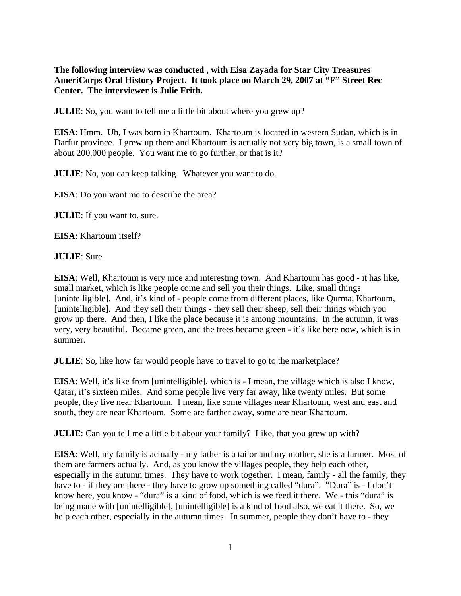**The following interview was conducted , with Eisa Zayada for Star City Treasures AmeriCorps Oral History Project. It took place on March 29, 2007 at "F" Street Rec Center. The interviewer is Julie Frith.**

**JULIE**: So, you want to tell me a little bit about where you grew up?

**EISA**: Hmm. Uh, I was born in Khartoum. Khartoum is located in western Sudan, which is in Darfur province. I grew up there and Khartoum is actually not very big town, is a small town of about 200,000 people. You want me to go further, or that is it?

**JULIE**: No, you can keep talking. Whatever you want to do.

**EISA**: Do you want me to describe the area?

**JULIE**: If you want to, sure.

**EISA**: Khartoum itself?

**JULIE**: Sure.

**EISA**: Well, Khartoum is very nice and interesting town. And Khartoum has good - it has like, small market, which is like people come and sell you their things. Like, small things [unintelligible]. And, it's kind of - people come from different places, like Qurma, Khartoum, [unintelligible]. And they sell their things - they sell their sheep, sell their things which you grow up there. And then, I like the place because it is among mountains. In the autumn, it was very, very beautiful. Became green, and the trees became green - it's like here now, which is in summer.

**JULIE**: So, like how far would people have to travel to go to the marketplace?

**EISA**: Well, it's like from [unintelligible], which is - I mean, the village which is also I know, Qatar, it's sixteen miles. And some people live very far away, like twenty miles. But some people, they live near Khartoum. I mean, like some villages near Khartoum, west and east and south, they are near Khartoum. Some are farther away, some are near Khartoum.

**JULIE**: Can you tell me a little bit about your family? Like, that you grew up with?

**EISA**: Well, my family is actually - my father is a tailor and my mother, she is a farmer. Most of them are farmers actually. And, as you know the villages people, they help each other, especially in the autumn times. They have to work together. I mean, family - all the family, they have to - if they are there - they have to grow up something called "dura". "Dura" is - I don't know here, you know - "dura" is a kind of food, which is we feed it there. We - this "dura" is being made with [unintelligible], [unintelligible] is a kind of food also, we eat it there. So, we help each other, especially in the autumn times. In summer, people they don't have to - they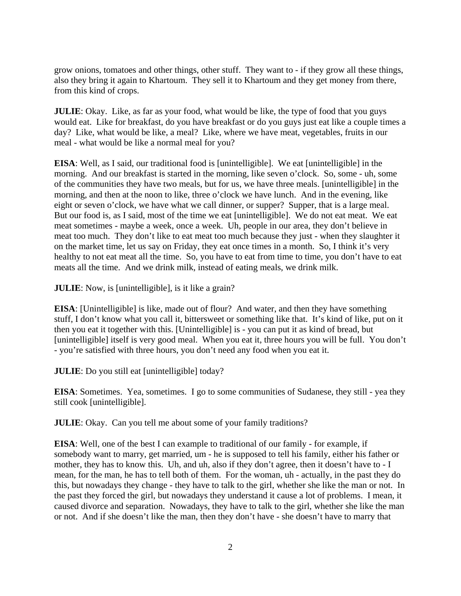grow onions, tomatoes and other things, other stuff. They want to - if they grow all these things, also they bring it again to Khartoum. They sell it to Khartoum and they get money from there, from this kind of crops.

**JULIE**: Okay. Like, as far as your food, what would be like, the type of food that you guys would eat. Like for breakfast, do you have breakfast or do you guys just eat like a couple times a day? Like, what would be like, a meal? Like, where we have meat, vegetables, fruits in our meal - what would be like a normal meal for you?

**EISA**: Well, as I said, our traditional food is [unintelligible]. We eat [unintelligible] in the morning. And our breakfast is started in the morning, like seven o'clock. So, some - uh, some of the communities they have two meals, but for us, we have three meals. [unintelligible] in the morning, and then at the noon to like, three o'clock we have lunch. And in the evening, like eight or seven o'clock, we have what we call dinner, or supper? Supper, that is a large meal. But our food is, as I said, most of the time we eat [unintelligible]. We do not eat meat. We eat meat sometimes - maybe a week, once a week. Uh, people in our area, they don't believe in meat too much. They don't like to eat meat too much because they just - when they slaughter it on the market time, let us say on Friday, they eat once times in a month. So, I think it's very healthy to not eat meat all the time. So, you have to eat from time to time, you don't have to eat meats all the time. And we drink milk, instead of eating meals, we drink milk.

**JULIE**: Now, is [unintelligible], is it like a grain?

**EISA**: [Unintelligible] is like, made out of flour? And water, and then they have something stuff, I don't know what you call it, bittersweet or something like that. It's kind of like, put on it then you eat it together with this. [Unintelligible] is - you can put it as kind of bread, but [unintelligible] itself is very good meal. When you eat it, three hours you will be full. You don't - you're satisfied with three hours, you don't need any food when you eat it.

**JULIE**: Do you still eat [unintelligible] today?

**EISA**: Sometimes. Yea, sometimes. I go to some communities of Sudanese, they still - yea they still cook [unintelligible].

**JULIE**: Okay. Can you tell me about some of your family traditions?

**EISA**: Well, one of the best I can example to traditional of our family - for example, if somebody want to marry, get married, um - he is supposed to tell his family, either his father or mother, they has to know this. Uh, and uh, also if they don't agree, then it doesn't have to - I mean, for the man, he has to tell both of them. For the woman, uh - actually, in the past they do this, but nowadays they change - they have to talk to the girl, whether she like the man or not. In the past they forced the girl, but nowadays they understand it cause a lot of problems. I mean, it caused divorce and separation. Nowadays, they have to talk to the girl, whether she like the man or not. And if she doesn't like the man, then they don't have - she doesn't have to marry that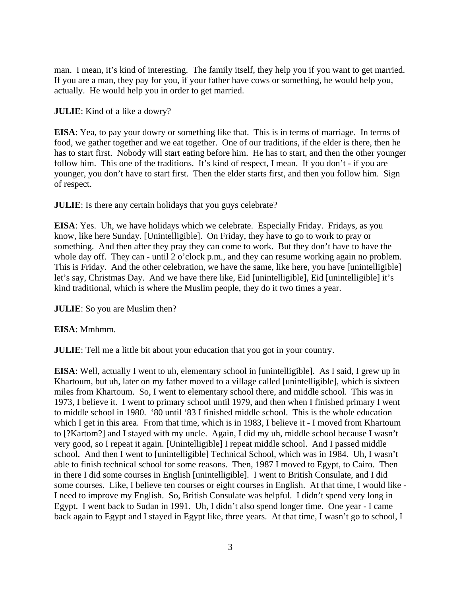man. I mean, it's kind of interesting. The family itself, they help you if you want to get married. If you are a man, they pay for you, if your father have cows or something, he would help you, actually. He would help you in order to get married.

**JULIE**: Kind of a like a dowry?

**EISA**: Yea, to pay your dowry or something like that. This is in terms of marriage. In terms of food, we gather together and we eat together. One of our traditions, if the elder is there, then he has to start first. Nobody will start eating before him. He has to start, and then the other younger follow him. This one of the traditions. It's kind of respect, I mean. If you don't - if you are younger, you don't have to start first. Then the elder starts first, and then you follow him. Sign of respect.

**JULIE**: Is there any certain holidays that you guys celebrate?

**EISA**: Yes. Uh, we have holidays which we celebrate. Especially Friday. Fridays, as you know, like here Sunday. [Unintelligible]. On Friday, they have to go to work to pray or something. And then after they pray they can come to work. But they don't have to have the whole day off. They can - until 2 o'clock p.m., and they can resume working again no problem. This is Friday. And the other celebration, we have the same, like here, you have [unintelligible] let's say, Christmas Day. And we have there like, Eid [unintelligible], Eid [unintelligible] it's kind traditional, which is where the Muslim people, they do it two times a year.

**JULIE**: So you are Muslim then?

**EISA**: Mmhmm.

**JULIE**: Tell me a little bit about your education that you got in your country.

**EISA**: Well, actually I went to uh, elementary school in [unintelligible]. As I said, I grew up in Khartoum, but uh, later on my father moved to a village called [unintelligible], which is sixteen miles from Khartoum. So, I went to elementary school there, and middle school. This was in 1973, I believe it. I went to primary school until 1979, and then when I finished primary I went to middle school in 1980. '80 until '83 I finished middle school. This is the whole education which I get in this area. From that time, which is in 1983, I believe it - I moved from Khartoum to [?Kartom?] and I stayed with my uncle. Again, I did my uh, middle school because I wasn't very good, so I repeat it again. [Unintelligible] I repeat middle school. And I passed middle school. And then I went to [unintelligible] Technical School, which was in 1984. Uh, I wasn't able to finish technical school for some reasons. Then, 1987 I moved to Egypt, to Cairo. Then in there I did some courses in English [unintelligible]. I went to British Consulate, and I did some courses. Like, I believe ten courses or eight courses in English. At that time, I would like - I need to improve my English. So, British Consulate was helpful. I didn't spend very long in Egypt. I went back to Sudan in 1991. Uh, I didn't also spend longer time. One year - I came back again to Egypt and I stayed in Egypt like, three years. At that time, I wasn't go to school, I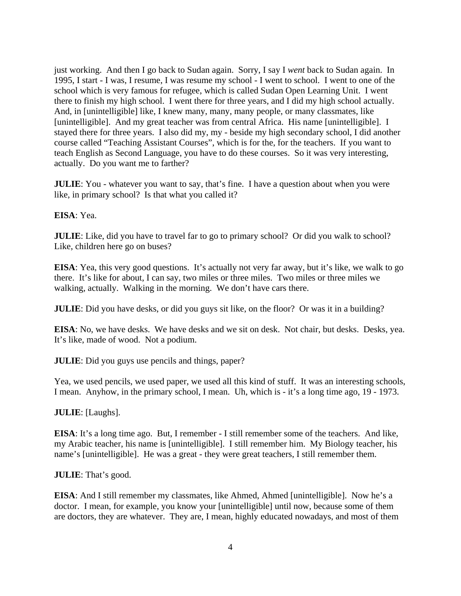just working. And then I go back to Sudan again. Sorry, I say I *went* back to Sudan again. In 1995, I start - I was, I resume, I was resume my school - I went to school. I went to one of the school which is very famous for refugee, which is called Sudan Open Learning Unit. I went there to finish my high school. I went there for three years, and I did my high school actually. And, in [unintelligible] like, I knew many, many, many people, or many classmates, like [unintelligible]. And my great teacher was from central Africa. His name [unintelligible]. I stayed there for three years. I also did my, my - beside my high secondary school, I did another course called "Teaching Assistant Courses", which is for the, for the teachers. If you want to teach English as Second Language, you have to do these courses. So it was very interesting, actually. Do you want me to farther?

**JULIE**: You - whatever you want to say, that's fine. I have a question about when you were like, in primary school? Is that what you called it?

**EISA**: Yea.

**JULIE**: Like, did you have to travel far to go to primary school? Or did you walk to school? Like, children here go on buses?

**EISA**: Yea, this very good questions. It's actually not very far away, but it's like, we walk to go there. It's like for about, I can say, two miles or three miles. Two miles or three miles we walking, actually. Walking in the morning. We don't have cars there.

**JULIE**: Did you have desks, or did you guys sit like, on the floor? Or was it in a building?

**EISA**: No, we have desks. We have desks and we sit on desk. Not chair, but desks. Desks, yea. It's like, made of wood. Not a podium.

**JULIE**: Did you guys use pencils and things, paper?

Yea, we used pencils, we used paper, we used all this kind of stuff. It was an interesting schools, I mean. Anyhow, in the primary school, I mean. Uh, which is - it's a long time ago, 19 - 1973.

**JULIE**: [Laughs].

**EISA**: It's a long time ago. But, I remember - I still remember some of the teachers. And like, my Arabic teacher, his name is [unintelligible]. I still remember him. My Biology teacher, his name's [unintelligible]. He was a great - they were great teachers, I still remember them.

**JULIE**: That's good.

**EISA**: And I still remember my classmates, like Ahmed, Ahmed [unintelligible]. Now he's a doctor. I mean, for example, you know your [unintelligible] until now, because some of them are doctors, they are whatever. They are, I mean, highly educated nowadays, and most of them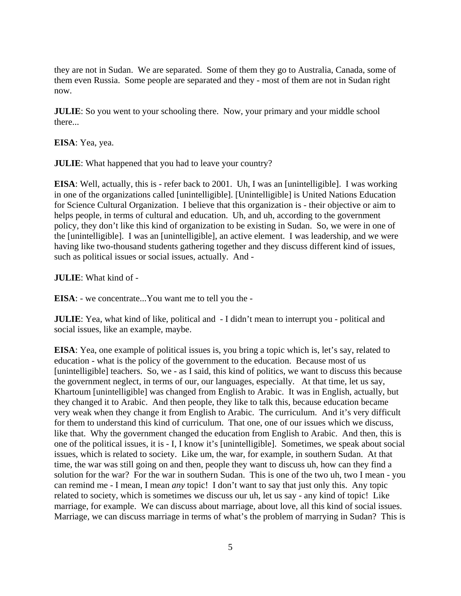they are not in Sudan. We are separated. Some of them they go to Australia, Canada, some of them even Russia. Some people are separated and they - most of them are not in Sudan right now.

**JULIE**: So you went to your schooling there. Now, your primary and your middle school there...

**EISA**: Yea, yea.

**JULIE**: What happened that you had to leave your country?

**EISA**: Well, actually, this is - refer back to 2001. Uh, I was an [unintelligible]. I was working in one of the organizations called [unintelligible]. [Unintelligible] is United Nations Education for Science Cultural Organization. I believe that this organization is - their objective or aim to helps people, in terms of cultural and education. Uh, and uh, according to the government policy, they don't like this kind of organization to be existing in Sudan. So, we were in one of the [unintelligible]. I was an [unintelligible], an active element. I was leadership, and we were having like two-thousand students gathering together and they discuss different kind of issues, such as political issues or social issues, actually. And -

**JULIE**: What kind of -

**EISA**: - we concentrate...You want me to tell you the -

**JULIE**: Yea, what kind of like, political and - I didn't mean to interrupt you - political and social issues, like an example, maybe.

**EISA**: Yea, one example of political issues is, you bring a topic which is, let's say, related to education - what is the policy of the government to the education. Because most of us [unintelligible] teachers. So, we - as I said, this kind of politics, we want to discuss this because the government neglect, in terms of our, our languages, especially. At that time, let us say, Khartoum [unintelligible] was changed from English to Arabic. It was in English, actually, but they changed it to Arabic. And then people, they like to talk this, because education became very weak when they change it from English to Arabic. The curriculum. And it's very difficult for them to understand this kind of curriculum. That one, one of our issues which we discuss, like that. Why the government changed the education from English to Arabic. And then, this is one of the political issues, it is - I, I know it's [unintelligible]. Sometimes, we speak about social issues, which is related to society. Like um, the war, for example, in southern Sudan. At that time, the war was still going on and then, people they want to discuss uh, how can they find a solution for the war? For the war in southern Sudan. This is one of the two uh, two I mean - you can remind me - I mean, I mean *any* topic! I don't want to say that just only this. Any topic related to society, which is sometimes we discuss our uh, let us say - any kind of topic! Like marriage, for example. We can discuss about marriage, about love, all this kind of social issues. Marriage, we can discuss marriage in terms of what's the problem of marrying in Sudan? This is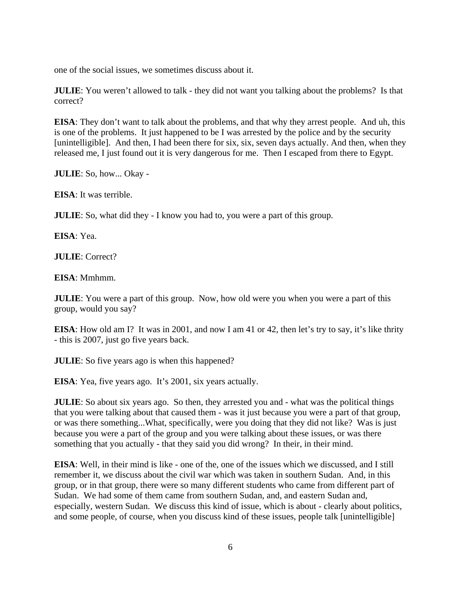one of the social issues, we sometimes discuss about it.

**JULIE**: You weren't allowed to talk - they did not want you talking about the problems? Is that correct?

**EISA**: They don't want to talk about the problems, and that why they arrest people. And uh, this is one of the problems. It just happened to be I was arrested by the police and by the security [unintelligible]. And then, I had been there for six, six, seven days actually. And then, when they released me, I just found out it is very dangerous for me. Then I escaped from there to Egypt.

**JULIE**: So, how... Okay -

**EISA**: It was terrible.

**JULIE**: So, what did they - I know you had to, you were a part of this group.

**EISA**: Yea.

**JULIE**: Correct?

**EISA**: Mmhmm.

**JULIE**: You were a part of this group. Now, how old were you when you were a part of this group, would you say?

**EISA**: How old am I? It was in 2001, and now I am 41 or 42, then let's try to say, it's like thrity - this is 2007, just go five years back.

**JULIE**: So five years ago is when this happened?

**EISA**: Yea, five years ago. It's 2001, six years actually.

**JULIE**: So about six years ago. So then, they arrested you and - what was the political things that you were talking about that caused them - was it just because you were a part of that group, or was there something...What, specifically, were you doing that they did not like? Was is just because you were a part of the group and you were talking about these issues, or was there something that you actually - that they said you did wrong? In their, in their mind.

**EISA**: Well, in their mind is like - one of the, one of the issues which we discussed, and I still remember it, we discuss about the civil war which was taken in southern Sudan. And, in this group, or in that group, there were so many different students who came from different part of Sudan. We had some of them came from southern Sudan, and, and eastern Sudan and, especially, western Sudan. We discuss this kind of issue, which is about - clearly about politics, and some people, of course, when you discuss kind of these issues, people talk [unintelligible]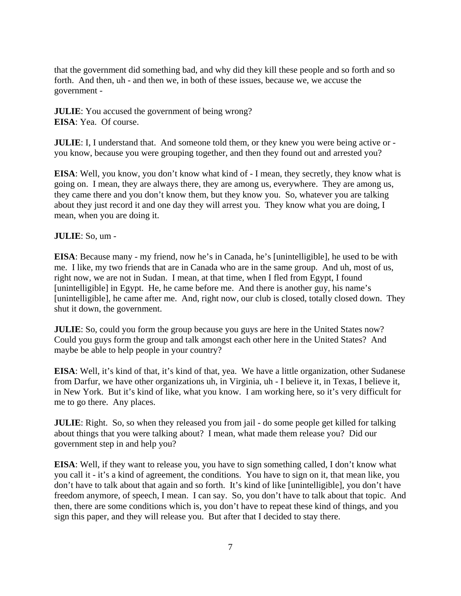that the government did something bad, and why did they kill these people and so forth and so forth. And then, uh - and then we, in both of these issues, because we, we accuse the government -

**JULIE**: You accused the government of being wrong? **EISA**: Yea. Of course.

**JULIE**: I, I understand that. And someone told them, or they knew you were being active or you know, because you were grouping together, and then they found out and arrested you?

**EISA**: Well, you know, you don't know what kind of - I mean, they secretly, they know what is going on. I mean, they are always there, they are among us, everywhere. They are among us, they came there and you don't know them, but they know you. So, whatever you are talking about they just record it and one day they will arrest you. They know what you are doing, I mean, when you are doing it.

# **JULIE**: So, um -

**EISA**: Because many - my friend, now he's in Canada, he's [unintelligible], he used to be with me. I like, my two friends that are in Canada who are in the same group. And uh, most of us, right now, we are not in Sudan. I mean, at that time, when I fled from Egypt, I found [unintelligible] in Egypt. He, he came before me. And there is another guy, his name's [unintelligible], he came after me. And, right now, our club is closed, totally closed down. They shut it down, the government.

**JULIE**: So, could you form the group because you guys are here in the United States now? Could you guys form the group and talk amongst each other here in the United States? And maybe be able to help people in your country?

**EISA**: Well, it's kind of that, it's kind of that, yea. We have a little organization, other Sudanese from Darfur, we have other organizations uh, in Virginia, uh - I believe it, in Texas, I believe it, in New York. But it's kind of like, what you know. I am working here, so it's very difficult for me to go there. Any places.

**JULIE**: Right. So, so when they released you from jail - do some people get killed for talking about things that you were talking about? I mean, what made them release you? Did our government step in and help you?

**EISA**: Well, if they want to release you, you have to sign something called, I don't know what you call it - it's a kind of agreement, the conditions. You have to sign on it, that mean like, you don't have to talk about that again and so forth. It's kind of like [unintelligible], you don't have freedom anymore, of speech, I mean. I can say. So, you don't have to talk about that topic. And then, there are some conditions which is, you don't have to repeat these kind of things, and you sign this paper, and they will release you. But after that I decided to stay there.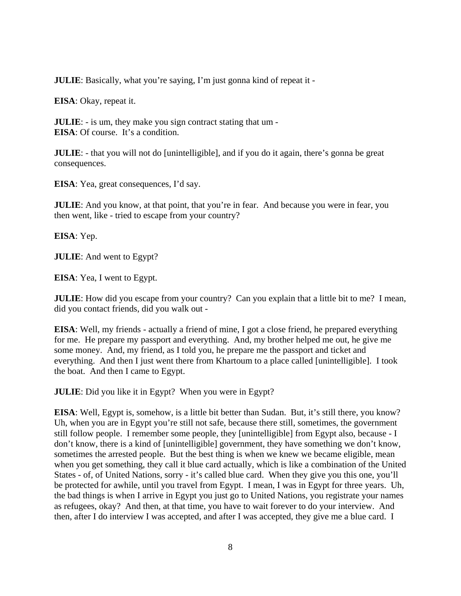**JULIE**: Basically, what you're saying, I'm just gonna kind of repeat it -

**EISA**: Okay, repeat it.

**JULIE**: - is um, they make you sign contract stating that um - **EISA**: Of course. It's a condition.

**JULIE**: - that you will not do [unintelligible], and if you do it again, there's gonna be great consequences.

**EISA**: Yea, great consequences, I'd say.

**JULIE**: And you know, at that point, that you're in fear. And because you were in fear, you then went, like - tried to escape from your country?

**EISA**: Yep.

**JULIE**: And went to Egypt?

**EISA**: Yea, I went to Egypt.

**JULIE**: How did you escape from your country? Can you explain that a little bit to me? I mean, did you contact friends, did you walk out -

**EISA**: Well, my friends - actually a friend of mine, I got a close friend, he prepared everything for me. He prepare my passport and everything. And, my brother helped me out, he give me some money. And, my friend, as I told you, he prepare me the passport and ticket and everything. And then I just went there from Khartoum to a place called [unintelligible]. I took the boat. And then I came to Egypt.

**JULIE**: Did you like it in Egypt? When you were in Egypt?

**EISA**: Well, Egypt is, somehow, is a little bit better than Sudan. But, it's still there, you know? Uh, when you are in Egypt you're still not safe, because there still, sometimes, the government still follow people. I remember some people, they [unintelligible] from Egypt also, because - I don't know, there is a kind of [unintelligible] government, they have something we don't know, sometimes the arrested people. But the best thing is when we knew we became eligible, mean when you get something, they call it blue card actually, which is like a combination of the United States - of, of United Nations, sorry - it's called blue card. When they give you this one, you'll be protected for awhile, until you travel from Egypt. I mean, I was in Egypt for three years. Uh, the bad things is when I arrive in Egypt you just go to United Nations, you registrate your names as refugees, okay? And then, at that time, you have to wait forever to do your interview. And then, after I do interview I was accepted, and after I was accepted, they give me a blue card. I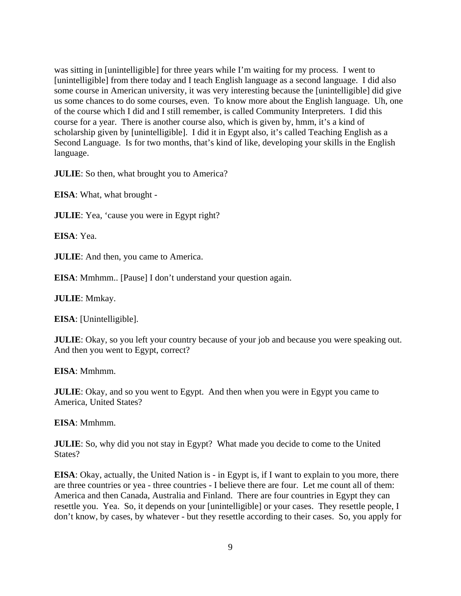was sitting in [unintelligible] for three years while I'm waiting for my process. I went to [unintelligible] from there today and I teach English language as a second language. I did also some course in American university, it was very interesting because the [unintelligible] did give us some chances to do some courses, even. To know more about the English language. Uh, one of the course which I did and I still remember, is called Community Interpreters. I did this course for a year. There is another course also, which is given by, hmm, it's a kind of scholarship given by [unintelligible]. I did it in Egypt also, it's called Teaching English as a Second Language. Is for two months, that's kind of like, developing your skills in the English language.

**JULIE**: So then, what brought you to America?

**EISA**: What, what brought -

**JULIE**: Yea, 'cause you were in Egypt right?

**EISA**: Yea.

**JULIE**: And then, you came to America.

**EISA**: Mmhmm.. [Pause] I don't understand your question again.

**JULIE**: Mmkay.

**EISA**: [Unintelligible].

**JULIE**: Okay, so you left your country because of your job and because you were speaking out. And then you went to Egypt, correct?

**EISA**: Mmhmm.

**JULIE**: Okay, and so you went to Egypt. And then when you were in Egypt you came to America, United States?

**EISA**: Mmhmm.

**JULIE**: So, why did you not stay in Egypt? What made you decide to come to the United States?

**EISA**: Okay, actually, the United Nation is - in Egypt is, if I want to explain to you more, there are three countries or yea - three countries - I believe there are four. Let me count all of them: America and then Canada, Australia and Finland. There are four countries in Egypt they can resettle you. Yea. So, it depends on your [unintelligible] or your cases. They resettle people, I don't know, by cases, by whatever - but they resettle according to their cases. So, you apply for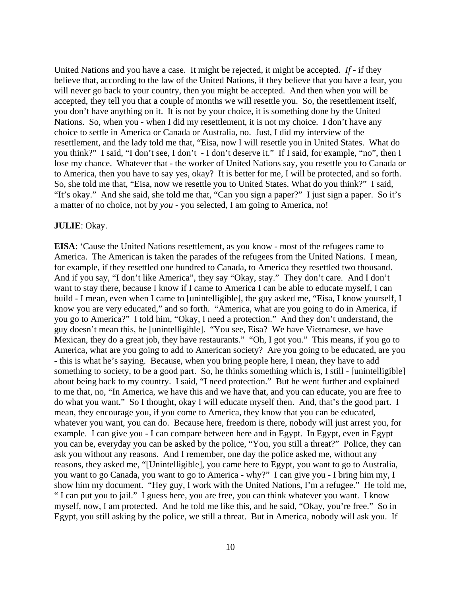United Nations and you have a case. It might be rejected, it might be accepted. *If* - if they believe that, according to the law of the United Nations, if they believe that you have a fear, you will never go back to your country, then you might be accepted. And then when you will be accepted, they tell you that a couple of months we will resettle you. So, the resettlement itself, you don't have anything on it. It is not by your choice, it is something done by the United Nations. So, when you - when I did my resettlement, it is not my choice. I don't have any choice to settle in America or Canada or Australia, no. Just, I did my interview of the resettlement, and the lady told me that, "Eisa, now I will resettle you in United States. What do you think?" I said, "I don't see, I don't - I don't deserve it." If I said, for example, "no", then I lose my chance. Whatever that - the worker of United Nations say, you resettle you to Canada or to America, then you have to say yes, okay? It is better for me, I will be protected, and so forth. So, she told me that, "Eisa, now we resettle you to United States. What do you think?" I said, "It's okay." And she said, she told me that, "Can you sign a paper?" I just sign a paper. So it's a matter of no choice, not by *you* - you selected, I am going to America, no!

#### **JULIE**: Okay.

**EISA**: 'Cause the United Nations resettlement, as you know - most of the refugees came to America. The American is taken the parades of the refugees from the United Nations. I mean, for example, if they resettled one hundred to Canada, to America they resettled two thousand. And if you say, "I don't like America", they say "Okay, stay." They don't care. And I don't want to stay there, because I know if I came to America I can be able to educate myself, I can build - I mean, even when I came to [unintelligible], the guy asked me, "Eisa, I know yourself, I know you are very educated," and so forth. "America, what are you going to do in America, if you go to America?" I told him, "Okay, I need a protection." And they don't understand, the guy doesn't mean this, he [unintelligible]. "You see, Eisa? We have Vietnamese, we have Mexican, they do a great job, they have restaurants." "Oh, I got you." This means, if you go to America, what are you going to add to American society? Are you going to be educated, are you - this is what he's saying. Because, when you bring people here, I mean, they have to add something to society, to be a good part. So, he thinks something which is, I still - [unintelligible] about being back to my country. I said, "I need protection." But he went further and explained to me that, no, "In America, we have this and we have that, and you can educate, you are free to do what you want." So I thought, okay I will educate myself then. And, that's the good part. I mean, they encourage you, if you come to America, they know that you can be educated, whatever you want, you can do. Because here, freedom is there, nobody will just arrest you, for example. I can give you - I can compare between here and in Egypt. In Egypt, even in Egypt you can be, everyday you can be asked by the police, "You, you still a threat?" Police, they can ask you without any reasons. And I remember, one day the police asked me, without any reasons, they asked me, "[Unintelligible], you came here to Egypt, you want to go to Australia, you want to go Canada, you want to go to America - why?" I can give you - I bring him my, I show him my document. "Hey guy, I work with the United Nations, I'm a refugee." He told me, " I can put you to jail." I guess here, you are free, you can think whatever you want. I know myself, now, I am protected. And he told me like this, and he said, "Okay, you're free." So in Egypt, you still asking by the police, we still a threat. But in America, nobody will ask you. If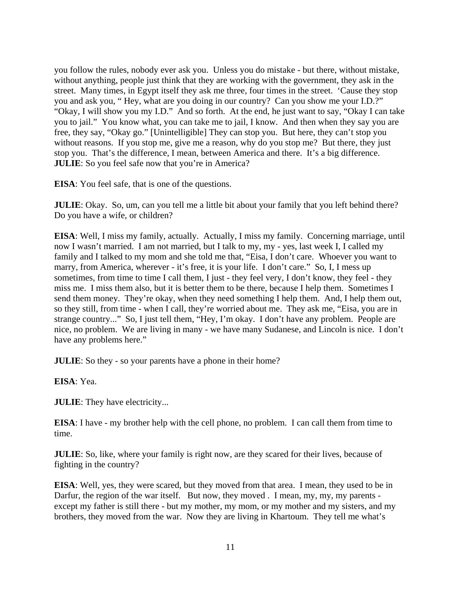you follow the rules, nobody ever ask you. Unless you do mistake - but there, without mistake, without anything, people just think that they are working with the government, they ask in the street. Many times, in Egypt itself they ask me three, four times in the street. 'Cause they stop you and ask you, " Hey, what are you doing in our country? Can you show me your I.D.?" "Okay, I will show you my I.D." And so forth. At the end, he just want to say, "Okay I can take you to jail." You know what, you can take me to jail, I know. And then when they say you are free, they say, "Okay go." [Unintelligible] They can stop you. But here, they can't stop you without reasons. If you stop me, give me a reason, why do you stop me? But there, they just stop you. That's the difference, I mean, between America and there. It's a big difference. **JULIE**: So you feel safe now that you're in America?

**EISA**: You feel safe, that is one of the questions.

**JULIE**: Okay. So, um, can you tell me a little bit about your family that you left behind there? Do you have a wife, or children?

**EISA**: Well, I miss my family, actually. Actually, I miss my family. Concerning marriage, until now I wasn't married. I am not married, but I talk to my, my - yes, last week I, I called my family and I talked to my mom and she told me that, "Eisa, I don't care. Whoever you want to marry, from America, wherever - it's free, it is your life. I don't care." So, I, I mess up sometimes, from time to time I call them, I just - they feel very, I don't know, they feel - they miss me. I miss them also, but it is better them to be there, because I help them. Sometimes I send them money. They're okay, when they need something I help them. And, I help them out, so they still, from time - when I call, they're worried about me. They ask me, "Eisa, you are in strange country..." So, I just tell them, "Hey, I'm okay. I don't have any problem. People are nice, no problem. We are living in many - we have many Sudanese, and Lincoln is nice. I don't have any problems here."

**JULIE**: So they - so your parents have a phone in their home?

**EISA**: Yea.

**JULIE**: They have electricity...

**EISA**: I have - my brother help with the cell phone, no problem. I can call them from time to time.

**JULIE**: So, like, where your family is right now, are they scared for their lives, because of fighting in the country?

**EISA**: Well, yes, they were scared, but they moved from that area. I mean, they used to be in Darfur, the region of the war itself. But now, they moved . I mean, my, my, my parents except my father is still there - but my mother, my mom, or my mother and my sisters, and my brothers, they moved from the war. Now they are living in Khartoum. They tell me what's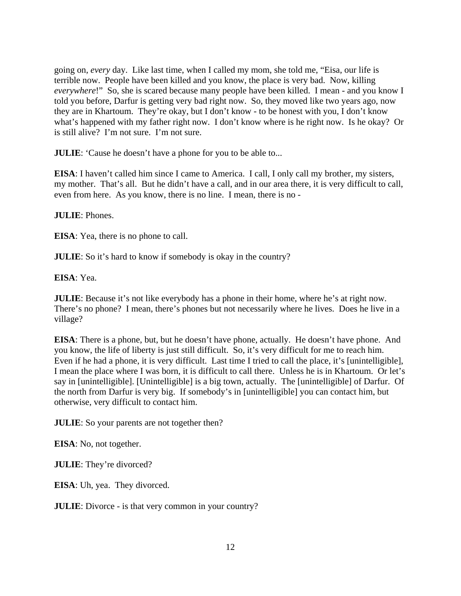going on, *every* day. Like last time, when I called my mom, she told me, "Eisa, our life is terrible now. People have been killed and you know, the place is very bad. Now, killing *everywhere*!" So, she is scared because many people have been killed. I mean - and you know I told you before, Darfur is getting very bad right now. So, they moved like two years ago, now they are in Khartoum. They're okay, but I don't know - to be honest with you, I don't know what's happened with my father right now. I don't know where is he right now. Is he okay? Or is still alive? I'm not sure. I'm not sure.

**JULIE**: 'Cause he doesn't have a phone for you to be able to...

**EISA**: I haven't called him since I came to America. I call, I only call my brother, my sisters, my mother. That's all. But he didn't have a call, and in our area there, it is very difficult to call, even from here. As you know, there is no line. I mean, there is no -

### **JULIE**: Phones.

**EISA**: Yea, there is no phone to call.

**JULIE**: So it's hard to know if somebody is okay in the country?

**EISA**: Yea.

**JULIE**: Because it's not like everybody has a phone in their home, where he's at right now. There's no phone? I mean, there's phones but not necessarily where he lives. Does he live in a village?

**EISA**: There is a phone, but, but he doesn't have phone, actually. He doesn't have phone. And you know, the life of liberty is just still difficult. So, it's very difficult for me to reach him. Even if he had a phone, it is very difficult. Last time I tried to call the place, it's [unintelligible], I mean the place where I was born, it is difficult to call there. Unless he is in Khartoum. Or let's say in [unintelligible]. [Unintelligible] is a big town, actually. The [unintelligible] of Darfur. Of the north from Darfur is very big. If somebody's in [unintelligible] you can contact him, but otherwise, very difficult to contact him.

**JULIE**: So your parents are not together then?

**EISA**: No, not together.

**JULIE**: They're divorced?

**EISA**: Uh, yea. They divorced.

**JULIE**: Divorce - is that very common in your country?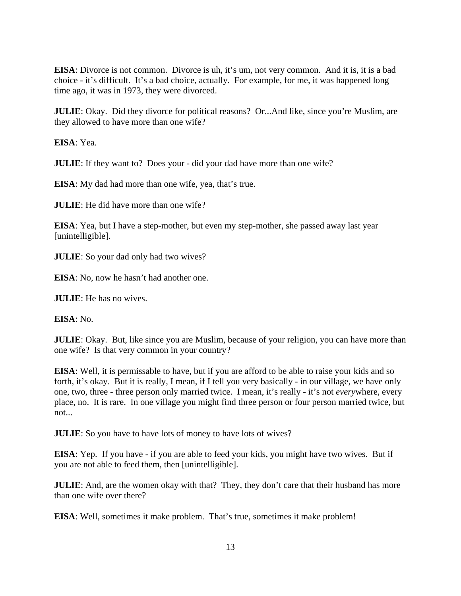**EISA**: Divorce is not common. Divorce is uh, it's um, not very common. And it is, it is a bad choice - it's difficult. It's a bad choice, actually. For example, for me, it was happened long time ago, it was in 1973, they were divorced.

**JULIE**: Okay. Did they divorce for political reasons? Or...And like, since you're Muslim, are they allowed to have more than one wife?

**EISA**: Yea.

**JULIE**: If they want to? Does your - did your dad have more than one wife?

**EISA**: My dad had more than one wife, yea, that's true.

**JULIE**: He did have more than one wife?

**EISA**: Yea, but I have a step-mother, but even my step-mother, she passed away last year [unintelligible].

**JULIE**: So your dad only had two wives?

**EISA**: No, now he hasn't had another one.

**JULIE**: He has no wives.

**EISA**: No.

**JULIE**: Okay. But, like since you are Muslim, because of your religion, you can have more than one wife? Is that very common in your country?

**EISA**: Well, it is permissable to have, but if you are afford to be able to raise your kids and so forth, it's okay. But it is really, I mean, if I tell you very basically - in our village, we have only one, two, three - three person only married twice. I mean, it's really - it's not *every*where, every place, no. It is rare. In one village you might find three person or four person married twice, but not...

**JULIE**: So you have to have lots of money to have lots of wives?

**EISA**: Yep. If you have - if you are able to feed your kids, you might have two wives. But if you are not able to feed them, then [unintelligible].

**JULIE**: And, are the women okay with that? They, they don't care that their husband has more than one wife over there?

**EISA**: Well, sometimes it make problem. That's true, sometimes it make problem!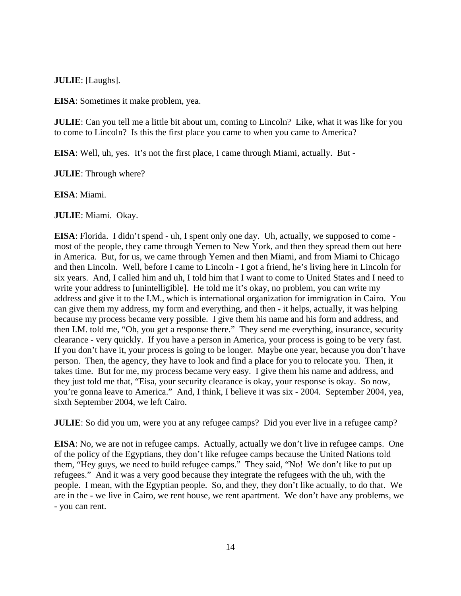**JULIE**: [Laughs].

**EISA**: Sometimes it make problem, yea.

**JULIE**: Can you tell me a little bit about um, coming to Lincoln? Like, what it was like for you to come to Lincoln? Is this the first place you came to when you came to America?

**EISA**: Well, uh, yes. It's not the first place, I came through Miami, actually. But -

**JULIE**: Through where?

**EISA**: Miami.

**JULIE**: Miami. Okay.

**EISA**: Florida. I didn't spend - uh, I spent only one day. Uh, actually, we supposed to come most of the people, they came through Yemen to New York, and then they spread them out here in America. But, for us, we came through Yemen and then Miami, and from Miami to Chicago and then Lincoln. Well, before I came to Lincoln - I got a friend, he's living here in Lincoln for six years. And, I called him and uh, I told him that I want to come to United States and I need to write your address to [unintelligible]. He told me it's okay, no problem, you can write my address and give it to the I.M., which is international organization for immigration in Cairo. You can give them my address, my form and everything, and then - it helps, actually, it was helping because my process became very possible. I give them his name and his form and address, and then I.M. told me, "Oh, you get a response there." They send me everything, insurance, security clearance - very quickly. If you have a person in America, your process is going to be very fast. If you don't have it, your process is going to be longer. Maybe one year, because you don't have person. Then, the agency, they have to look and find a place for you to relocate you. Then, it takes time. But for me, my process became very easy. I give them his name and address, and they just told me that, "Eisa, your security clearance is okay, your response is okay. So now, you're gonna leave to America." And, I think, I believe it was six - 2004. September 2004, yea, sixth September 2004, we left Cairo.

**JULIE**: So did you um, were you at any refugee camps? Did you ever live in a refugee camp?

**EISA**: No, we are not in refugee camps. Actually, actually we don't live in refugee camps. One of the policy of the Egyptians, they don't like refugee camps because the United Nations told them, "Hey guys, we need to build refugee camps." They said, "No! We don't like to put up refugees." And it was a very good because they integrate the refugees with the uh, with the people. I mean, with the Egyptian people. So, and they, they don't like actually, to do that. We are in the - we live in Cairo, we rent house, we rent apartment. We don't have any problems, we - you can rent.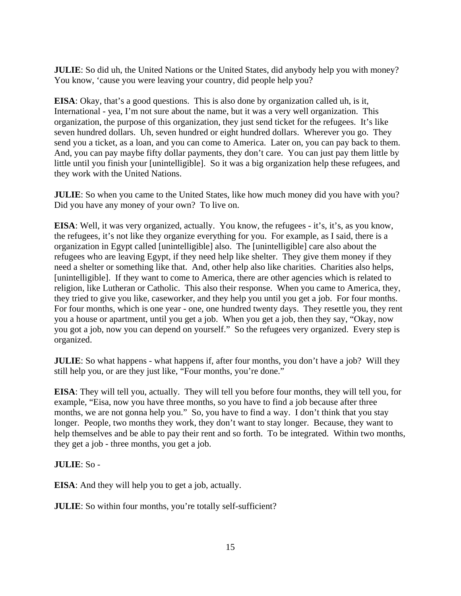**JULIE**: So did uh, the United Nations or the United States, did anybody help you with money? You know, 'cause you were leaving your country, did people help you?

**EISA**: Okay, that's a good questions. This is also done by organization called uh, is it, International - yea, I'm not sure about the name, but it was a very well organization. This organization, the purpose of this organization, they just send ticket for the refugees. It's like seven hundred dollars. Uh, seven hundred or eight hundred dollars. Wherever you go. They send you a ticket, as a loan, and you can come to America. Later on, you can pay back to them. And, you can pay maybe fifty dollar payments, they don't care. You can just pay them little by little until you finish your [unintelligible]. So it was a big organization help these refugees, and they work with the United Nations.

**JULIE**: So when you came to the United States, like how much money did you have with you? Did you have any money of your own? To live on.

**EISA**: Well, it was very organized, actually. You know, the refugees - it's, it's, as you know, the refugees, it's not like they organize everything for you. For example, as I said, there is a organization in Egypt called [unintelligible] also. The [unintelligible] care also about the refugees who are leaving Egypt, if they need help like shelter. They give them money if they need a shelter or something like that. And, other help also like charities. Charities also helps, [unintelligible]. If they want to come to America, there are other agencies which is related to religion, like Lutheran or Catholic. This also their response. When you came to America, they, they tried to give you like, caseworker, and they help you until you get a job. For four months. For four months, which is one year - one, one hundred twenty days. They resettle you, they rent you a house or apartment, until you get a job. When you get a job, then they say, "Okay, now you got a job, now you can depend on yourself." So the refugees very organized. Every step is organized.

**JULIE**: So what happens - what happens if, after four months, you don't have a job? Will they still help you, or are they just like, "Four months, you're done."

**EISA**: They will tell you, actually. They will tell you before four months, they will tell you, for example, "Eisa, now you have three months, so you have to find a job because after three months, we are not gonna help you." So, you have to find a way. I don't think that you stay longer. People, two months they work, they don't want to stay longer. Because, they want to help themselves and be able to pay their rent and so forth. To be integrated. Within two months, they get a job - three months, you get a job.

**JULIE**: So -

**EISA**: And they will help you to get a job, actually.

**JULIE**: So within four months, you're totally self-sufficient?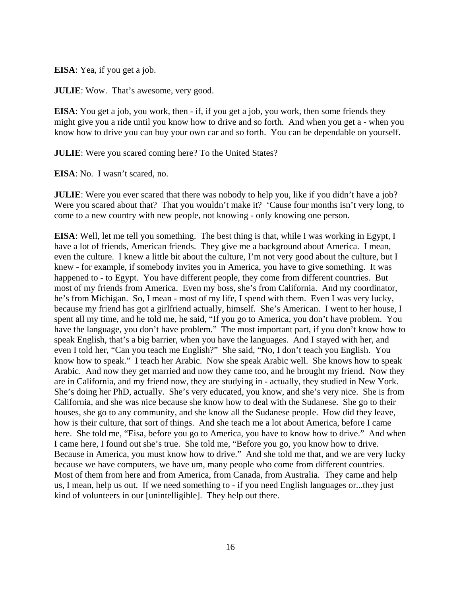**EISA**: Yea, if you get a job.

**JULIE**: Wow. That's awesome, very good.

**EISA**: You get a job, you work, then - if, if you get a job, you work, then some friends they might give you a ride until you know how to drive and so forth. And when you get a - when you know how to drive you can buy your own car and so forth. You can be dependable on yourself.

**JULIE**: Were you scared coming here? To the United States?

**EISA**: No. I wasn't scared, no.

**JULIE**: Were you ever scared that there was nobody to help you, like if you didn't have a job? Were you scared about that? That you wouldn't make it? 'Cause four months isn't very long, to come to a new country with new people, not knowing - only knowing one person.

**EISA**: Well, let me tell you something. The best thing is that, while I was working in Egypt, I have a lot of friends, American friends. They give me a background about America. I mean, even the culture. I knew a little bit about the culture, I'm not very good about the culture, but I knew - for example, if somebody invites you in America, you have to give something. It was happened to - to Egypt. You have different people, they come from different countries. But most of my friends from America. Even my boss, she's from California. And my coordinator, he's from Michigan. So, I mean - most of my life, I spend with them. Even I was very lucky, because my friend has got a girlfriend actually, himself. She's American. I went to her house, I spent all my time, and he told me, he said, "If you go to America, you don't have problem. You have the language, you don't have problem." The most important part, if you don't know how to speak English, that's a big barrier, when you have the languages. And I stayed with her, and even I told her, "Can you teach me English?" She said, "No, I don't teach you English. You know how to speak." I teach her Arabic. Now she speak Arabic well. She knows how to speak Arabic. And now they get married and now they came too, and he brought my friend. Now they are in California, and my friend now, they are studying in - actually, they studied in New York. She's doing her PhD, actually. She's very educated, you know, and she's very nice. She is from California, and she was nice because she know how to deal with the Sudanese. She go to their houses, she go to any community, and she know all the Sudanese people. How did they leave, how is their culture, that sort of things. And she teach me a lot about America, before I came here. She told me, "Eisa, before you go to America, you have to know how to drive." And when I came here, I found out she's true. She told me, "Before you go, you know how to drive. Because in America, you must know how to drive." And she told me that, and we are very lucky because we have computers, we have um, many people who come from different countries. Most of them from here and from America, from Canada, from Australia. They came and help us, I mean, help us out. If we need something to - if you need English languages or...they just kind of volunteers in our [unintelligible]. They help out there.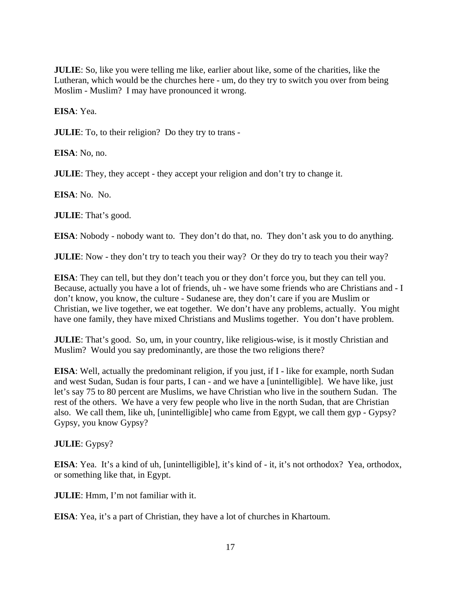**JULIE**: So, like you were telling me like, earlier about like, some of the charities, like the Lutheran, which would be the churches here - um, do they try to switch you over from being Moslim - Muslim? I may have pronounced it wrong.

**EISA**: Yea.

**JULIE**: To, to their religion? Do they try to trans -

**EISA**: No, no.

**JULIE**: They, they accept - they accept your religion and don't try to change it.

**EISA**: No. No.

**JULIE**: That's good.

**EISA**: Nobody - nobody want to. They don't do that, no. They don't ask you to do anything.

**JULIE**: Now - they don't try to teach you their way? Or they do try to teach you their way?

**EISA**: They can tell, but they don't teach you or they don't force you, but they can tell you. Because, actually you have a lot of friends, uh - we have some friends who are Christians and - I don't know, you know, the culture - Sudanese are, they don't care if you are Muslim or Christian, we live together, we eat together. We don't have any problems, actually. You might have one family, they have mixed Christians and Muslims together. You don't have problem.

**JULIE**: That's good. So, um, in your country, like religious-wise, is it mostly Christian and Muslim? Would you say predominantly, are those the two religions there?

**EISA**: Well, actually the predominant religion, if you just, if I - like for example, north Sudan and west Sudan, Sudan is four parts, I can - and we have a [unintelligible]. We have like, just let's say 75 to 80 percent are Muslims, we have Christian who live in the southern Sudan. The rest of the others. We have a very few people who live in the north Sudan, that are Christian also. We call them, like uh, [unintelligible] who came from Egypt, we call them gyp - Gypsy? Gypsy, you know Gypsy?

**JULIE**: Gypsy?

**EISA**: Yea. It's a kind of uh, [unintelligible], it's kind of - it, it's not orthodox? Yea, orthodox, or something like that, in Egypt.

**JULIE**: Hmm, I'm not familiar with it.

**EISA**: Yea, it's a part of Christian, they have a lot of churches in Khartoum.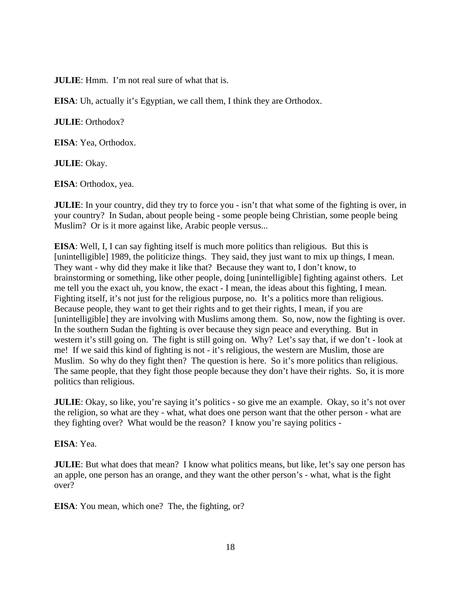**JULIE**: Hmm. I'm not real sure of what that is.

**EISA**: Uh, actually it's Egyptian, we call them, I think they are Orthodox.

**JULIE**: Orthodox?

**EISA**: Yea, Orthodox.

**JULIE**: Okay.

**EISA**: Orthodox, yea.

**JULIE**: In your country, did they try to force you - isn't that what some of the fighting is over, in your country? In Sudan, about people being - some people being Christian, some people being Muslim? Or is it more against like, Arabic people versus...

**EISA**: Well, I, I can say fighting itself is much more politics than religious. But this is [unintelligible] 1989, the politicize things. They said, they just want to mix up things, I mean. They want - why did they make it like that? Because they want to, I don't know, to brainstorming or something, like other people, doing [unintelligible] fighting against others. Let me tell you the exact uh, you know, the exact - I mean, the ideas about this fighting, I mean. Fighting itself, it's not just for the religious purpose, no. It's a politics more than religious. Because people, they want to get their rights and to get their rights, I mean, if you are [unintelligible] they are involving with Muslims among them. So, now, now the fighting is over. In the southern Sudan the fighting is over because they sign peace and everything. But in western it's still going on. The fight is still going on. Why? Let's say that, if we don't - look at me! If we said this kind of fighting is not - it's religious, the western are Muslim, those are Muslim. So why do they fight then? The question is here. So it's more politics than religious. The same people, that they fight those people because they don't have their rights. So, it is more politics than religious.

**JULIE**: Okay, so like, you're saying it's politics - so give me an example. Okay, so it's not over the religion, so what are they - what, what does one person want that the other person - what are they fighting over? What would be the reason? I know you're saying politics -

### **EISA**: Yea.

**JULIE**: But what does that mean? I know what politics means, but like, let's say one person has an apple, one person has an orange, and they want the other person's - what, what is the fight over?

**EISA**: You mean, which one? The, the fighting, or?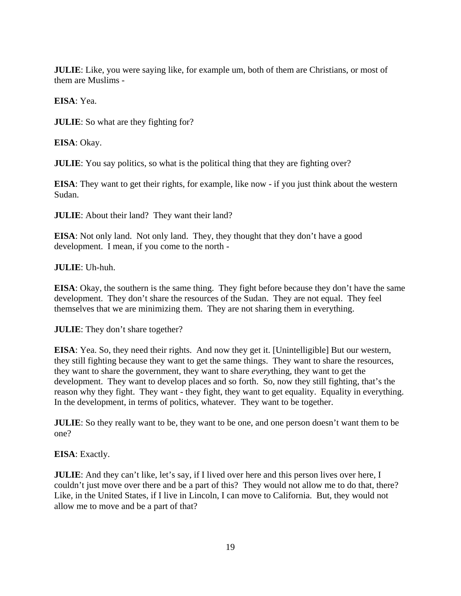**JULIE**: Like, you were saying like, for example um, both of them are Christians, or most of them are Muslims -

**EISA**: Yea.

**JULIE**: So what are they fighting for?

**EISA**: Okay.

**JULIE**: You say politics, so what is the political thing that they are fighting over?

**EISA**: They want to get their rights, for example, like now - if you just think about the western Sudan.

**JULIE**: About their land? They want their land?

**EISA**: Not only land. Not only land. They, they thought that they don't have a good development. I mean, if you come to the north -

**JULIE**: Uh-huh.

**EISA**: Okay, the southern is the same thing. They fight before because they don't have the same development. They don't share the resources of the Sudan. They are not equal. They feel themselves that we are minimizing them. They are not sharing them in everything.

**JULIE**: They don't share together?

**EISA**: Yea. So, they need their rights. And now they get it. [Unintelligible] But our western, they still fighting because they want to get the same things. They want to share the resources, they want to share the government, they want to share *every*thing, they want to get the development. They want to develop places and so forth. So, now they still fighting, that's the reason why they fight. They want - they fight, they want to get equality. Equality in everything. In the development, in terms of politics, whatever. They want to be together.

**JULIE**: So they really want to be, they want to be one, and one person doesn't want them to be one?

**EISA**: Exactly.

**JULIE**: And they can't like, let's say, if I lived over here and this person lives over here, I couldn't just move over there and be a part of this? They would not allow me to do that, there? Like, in the United States, if I live in Lincoln, I can move to California. But, they would not allow me to move and be a part of that?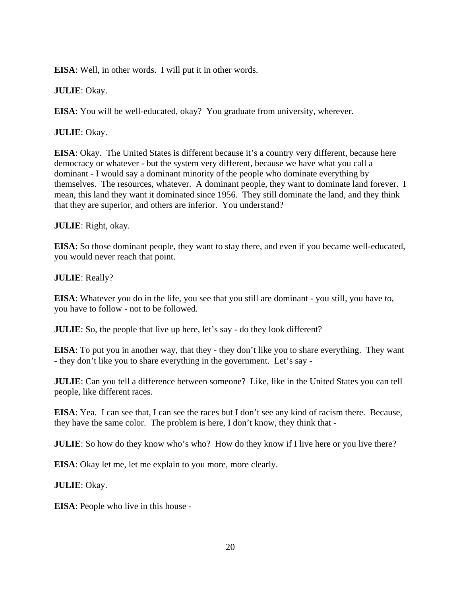**EISA**: Well, in other words. I will put it in other words.

**JULIE**: Okay.

**EISA**: You will be well-educated, okay? You graduate from university, wherever.

**JULIE**: Okay.

**EISA**: Okay. The United States is different because it's a country very different, because here democracy or whatever - but the system very different, because we have what you call a dominant - I would say a dominant minority of the people who dominate everything by themselves. The resources, whatever. A dominant people, they want to dominate land forever. I mean, this land they want it dominated since 1956. They still dominate the land, and they think that they are superior, and others are inferior. You understand?

**JULIE**: Right, okay.

**EISA**: So those dominant people, they want to stay there, and even if you became well-educated, you would never reach that point.

**JULIE**: Really?

**EISA**: Whatever you do in the life, you see that you still are dominant - you still, you have to, you have to follow - not to be followed.

**JULIE**: So, the people that live up here, let's say - do they look different?

**EISA**: To put you in another way, that they - they don't like you to share everything. They want - they don't like you to share everything in the government. Let's say -

**JULIE**: Can you tell a difference between someone? Like, like in the United States you can tell people, like different races.

**EISA**: Yea. I can see that, I can see the races but I don't see any kind of racism there. Because, they have the same color. The problem is here, I don't know, they think that -

**JULIE**: So how do they know who's who? How do they know if I live here or you live there?

**EISA**: Okay let me, let me explain to you more, more clearly.

**JULIE**: Okay.

**EISA**: People who live in this house -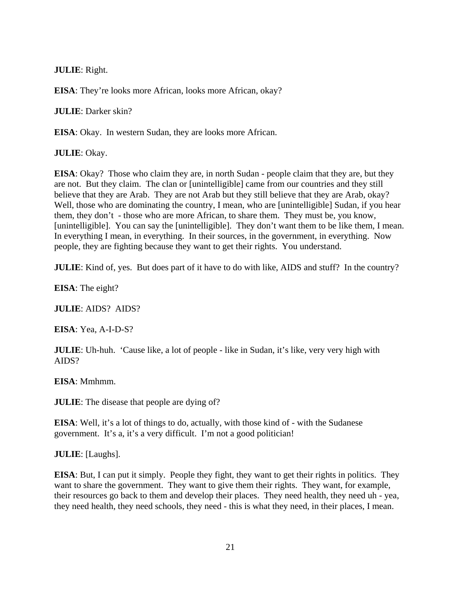**JULIE**: Right.

**EISA**: They're looks more African, looks more African, okay?

**JULIE**: Darker skin?

**EISA**: Okay. In western Sudan, they are looks more African.

**JULIE**: Okay.

**EISA**: Okay? Those who claim they are, in north Sudan - people claim that they are, but they are not. But they claim. The clan or [unintelligible] came from our countries and they still believe that they are Arab. They are not Arab but they still believe that they are Arab, okay? Well, those who are dominating the country, I mean, who are [unintelligible] Sudan, if you hear them, they don't - those who are more African, to share them. They must be, you know, [unintelligible]. You can say the [unintelligible]. They don't want them to be like them, I mean. In everything I mean, in everything. In their sources, in the government, in everything. Now people, they are fighting because they want to get their rights. You understand.

**JULIE**: Kind of, yes. But does part of it have to do with like, AIDS and stuff? In the country?

**EISA**: The eight?

**JULIE**: AIDS? AIDS?

**EISA**: Yea, A-I-D-S?

**JULIE**: Uh-huh. 'Cause like, a lot of people - like in Sudan, it's like, very very high with AIDS?

**EISA**: Mmhmm.

**JULIE**: The disease that people are dying of?

**EISA**: Well, it's a lot of things to do, actually, with those kind of - with the Sudanese government. It's a, it's a very difficult. I'm not a good politician!

**JULIE**: [Laughs].

**EISA**: But, I can put it simply. People they fight, they want to get their rights in politics. They want to share the government. They want to give them their rights. They want, for example, their resources go back to them and develop their places. They need health, they need uh - yea, they need health, they need schools, they need - this is what they need, in their places, I mean.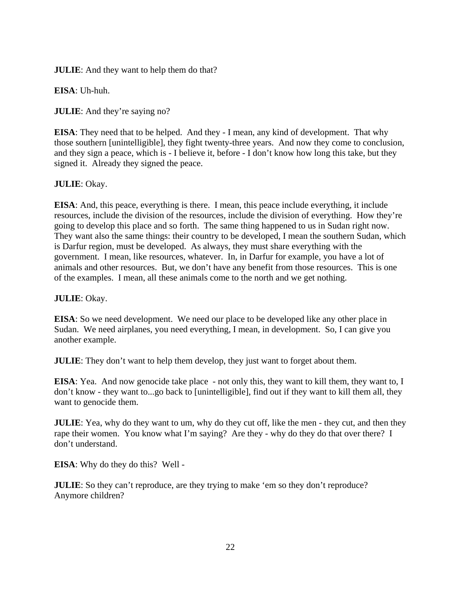**JULIE**: And they want to help them do that?

**EISA**: Uh-huh.

**JULIE**: And they're saying no?

**EISA**: They need that to be helped. And they - I mean, any kind of development. That why those southern [unintelligible], they fight twenty-three years. And now they come to conclusion, and they sign a peace, which is - I believe it, before - I don't know how long this take, but they signed it. Already they signed the peace.

# **JULIE**: Okay.

**EISA**: And, this peace, everything is there. I mean, this peace include everything, it include resources, include the division of the resources, include the division of everything. How they're going to develop this place and so forth. The same thing happened to us in Sudan right now. They want also the same things: their country to be developed, I mean the southern Sudan, which is Darfur region, must be developed. As always, they must share everything with the government. I mean, like resources, whatever. In, in Darfur for example, you have a lot of animals and other resources. But, we don't have any benefit from those resources. This is one of the examples. I mean, all these animals come to the north and we get nothing.

### **JULIE**: Okay.

**EISA**: So we need development. We need our place to be developed like any other place in Sudan. We need airplanes, you need everything, I mean, in development. So, I can give you another example.

**JULIE**: They don't want to help them develop, they just want to forget about them.

**EISA**: Yea. And now genocide take place - not only this, they want to kill them, they want to, I don't know - they want to...go back to [unintelligible], find out if they want to kill them all, they want to genocide them.

**JULIE**: Yea, why do they want to um, why do they cut off, like the men - they cut, and then they rape their women. You know what I'm saying? Are they - why do they do that over there? I don't understand.

**EISA**: Why do they do this? Well -

**JULIE**: So they can't reproduce, are they trying to make 'em so they don't reproduce? Anymore children?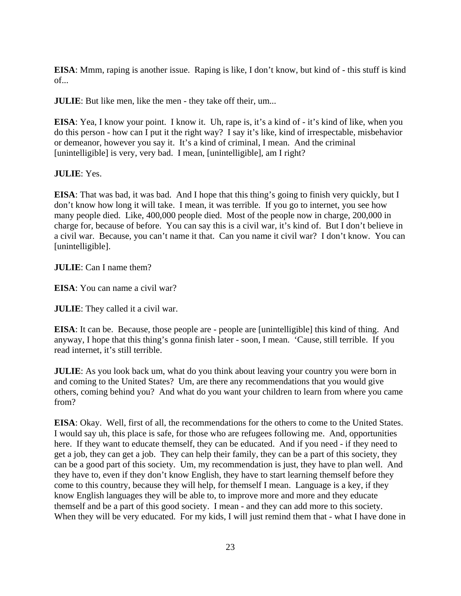**EISA**: Mmm, raping is another issue. Raping is like, I don't know, but kind of - this stuff is kind of...

**JULIE**: But like men, like the men - they take off their, um...

**EISA**: Yea, I know your point. I know it. Uh, rape is, it's a kind of - it's kind of like, when you do this person - how can I put it the right way? I say it's like, kind of irrespectable, misbehavior or demeanor, however you say it. It's a kind of criminal, I mean. And the criminal [unintelligible] is very, very bad. I mean, [unintelligible], am I right?

# **JULIE**: Yes.

**EISA**: That was bad, it was bad. And I hope that this thing's going to finish very quickly, but I don't know how long it will take. I mean, it was terrible. If you go to internet, you see how many people died. Like, 400,000 people died. Most of the people now in charge, 200,000 in charge for, because of before. You can say this is a civil war, it's kind of. But I don't believe in a civil war. Because, you can't name it that. Can you name it civil war? I don't know. You can [unintelligible].

**JULIE**: Can I name them?

**EISA**: You can name a civil war?

**JULIE**: They called it a civil war.

**EISA**: It can be. Because, those people are - people are [unintelligible] this kind of thing. And anyway, I hope that this thing's gonna finish later - soon, I mean. 'Cause, still terrible. If you read internet, it's still terrible.

**JULIE**: As you look back um, what do you think about leaving your country you were born in and coming to the United States? Um, are there any recommendations that you would give others, coming behind you? And what do you want your children to learn from where you came from?

**EISA**: Okay. Well, first of all, the recommendations for the others to come to the United States. I would say uh, this place is safe, for those who are refugees following me. And, opportunities here. If they want to educate themself, they can be educated. And if you need - if they need to get a job, they can get a job. They can help their family, they can be a part of this society, they can be a good part of this society. Um, my recommendation is just, they have to plan well. And they have to, even if they don't know English, they have to start learning themself before they come to this country, because they will help, for themself I mean. Language is a key, if they know English languages they will be able to, to improve more and more and they educate themself and be a part of this good society. I mean - and they can add more to this society. When they will be very educated. For my kids, I will just remind them that - what I have done in